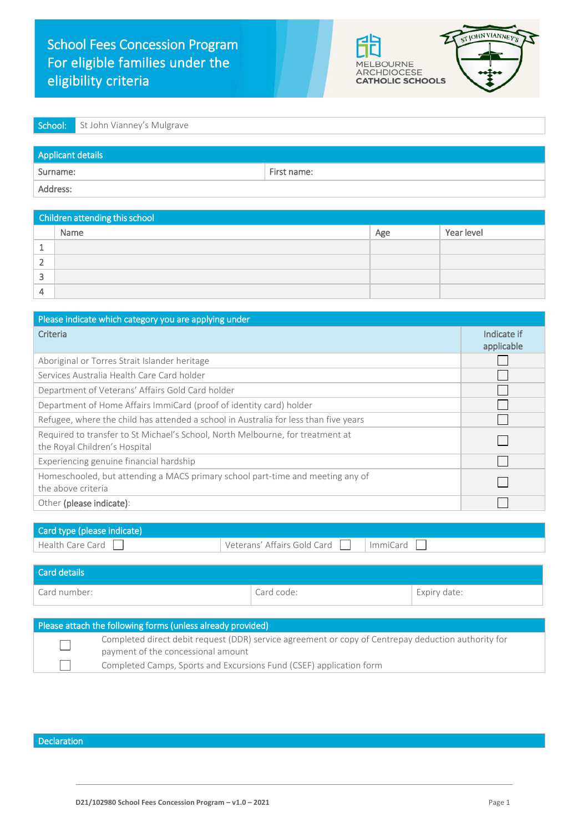



| <b>School:</b> St John Vianney's Mulgrave |  |
|-------------------------------------------|--|
|                                           |  |

| Applicant details |             |  |  |
|-------------------|-------------|--|--|
| Surname:          | First name: |  |  |
| Address:          |             |  |  |

| Children attending this school |      |     |            |
|--------------------------------|------|-----|------------|
|                                | Name | Age | Year level |
|                                |      |     |            |
|                                |      |     |            |
|                                |      |     |            |
|                                |      |     |            |

| Please indicate which category you are applying under                                                           |                           |  |
|-----------------------------------------------------------------------------------------------------------------|---------------------------|--|
| Criteria                                                                                                        | Indicate if<br>applicable |  |
| Aboriginal or Torres Strait Islander heritage                                                                   |                           |  |
| Services Australia Health Care Card holder                                                                      |                           |  |
| Department of Veterans' Affairs Gold Card holder                                                                |                           |  |
| Department of Home Affairs ImmiCard (proof of identity card) holder                                             |                           |  |
| Refugee, where the child has attended a school in Australia for less than five years                            |                           |  |
| Required to transfer to St Michael's School, North Melbourne, for treatment at<br>the Royal Children's Hospital |                           |  |
| Experiencing genuine financial hardship                                                                         |                           |  |
| Homeschooled, but attending a MACS primary school part-time and meeting any of<br>the above criteria            |                           |  |
| Other (please indicate):                                                                                        |                           |  |

| Card type (please indicate) |                             |          |
|-----------------------------|-----------------------------|----------|
| Health Care Card            | Veterans' Affairs Gold Card | ImmiCard |
|                             |                             |          |

| l Card details                                              |                                                                                                                                           |            |              |
|-------------------------------------------------------------|-------------------------------------------------------------------------------------------------------------------------------------------|------------|--------------|
| Card number:                                                |                                                                                                                                           | Card code: | Expiry date: |
|                                                             |                                                                                                                                           |            |              |
| Please attach the following forms (unless already provided) |                                                                                                                                           |            |              |
|                                                             | Completed direct debit request (DDR) service agreement or copy of Centrepay deduction authority for<br>payment of the concessional amount |            |              |
|                                                             | Completed Camps, Sports and Excursions Fund (CSEF) application form                                                                       |            |              |

Declaration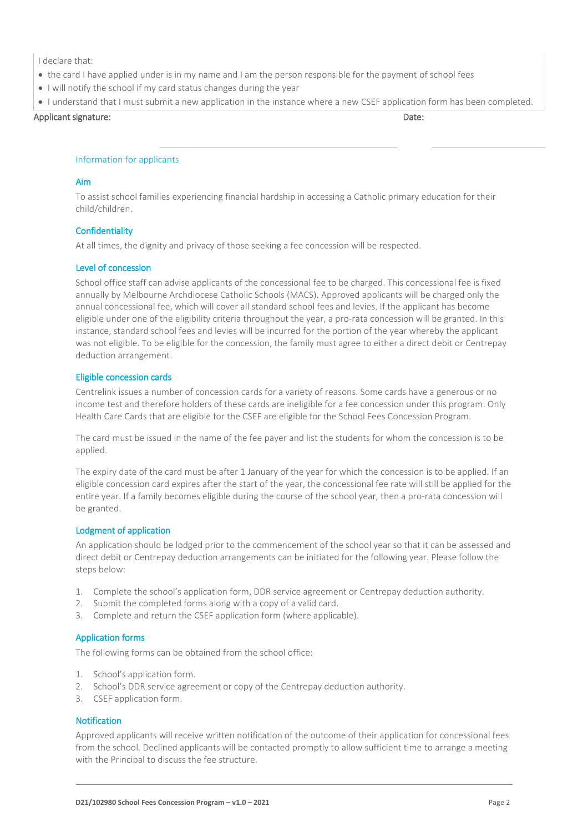I declare that:

- the card I have applied under is in my name and I am the person responsible for the payment of school fees
- I will notify the school if my card status changes during the year
- I understand that I must submit a new application in the instance where a new CSEF application form has been completed.

Applicant signature: Date: Date: Date: Date: Date: Date: Date: Date: Date: Date: Date: Date: Date: Date: Date: Date: Date: Date: Date: Date: Date: Date: Date: Date: Date: Date: Date: Date: Date: Date: Date: Date: Date: Dat

### Information for applicants

### Aim

To assist school families experiencing financial hardship in accessing a Catholic primary education for their child/children.

### **Confidentiality**

At all times, the dignity and privacy of those seeking a fee concession will be respected.

### Level of concession

School office staff can advise applicants of the concessional fee to be charged. This concessional fee is fixed annually by Melbourne Archdiocese Catholic Schools (MACS). Approved applicants will be charged only the annual concessional fee, which will cover all standard school fees and levies. If the applicant has become eligible under one of the eligibility criteria throughout the year, a pro-rata concession will be granted. In this instance, standard school fees and levies will be incurred for the portion of the year whereby the applicant was not eligible. To be eligible for the concession, the family must agree to either a direct debit or Centrepay deduction arrangement.

### Eligible concession cards

Centrelink issues a number of concession cards for a variety of reasons. Some cards have a generous or no income test and therefore holders of these cards are ineligible for a fee concession under this program. Only Health Care Cards that are eligible for the CSEF are eligible for the School Fees Concession Program.

The card must be issued in the name of the fee payer and list the students for whom the concession is to be applied.

The expiry date of the card must be after 1 January of the year for which the concession is to be applied. If an eligible concession card expires after the start of the year, the concessional fee rate will still be applied for the entire year. If a family becomes eligible during the course of the school year, then a pro-rata concession will be granted.

## Lodgment of application

An application should be lodged prior to the commencement of the school year so that it can be assessed and direct debit or Centrepay deduction arrangements can be initiated for the following year. Please follow the steps below:

- 1. Complete the school's application form, DDR service agreement or Centrepay deduction authority.
- 2. Submit the completed forms along with a copy of a valid card.
- 3. Complete and return the CSEF application form (where applicable).

## Application forms

The following forms can be obtained from the school office:

- 1. School's application form.
- 2. School's DDR service agreement or copy of the Centrepay deduction authority.
- 3. CSEF application form.

## **Notification**

Approved applicants will receive written notification of the outcome of their application for concessional fees from the school. Declined applicants will be contacted promptly to allow sufficient time to arrange a meeting with the Principal to discuss the fee structure.